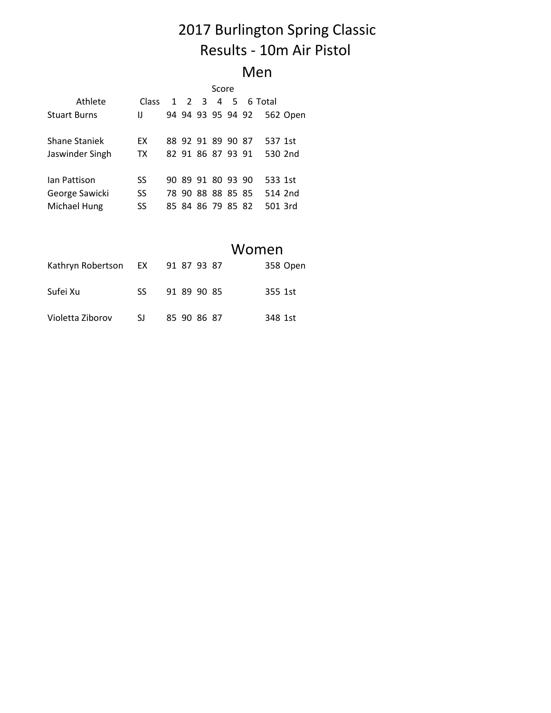# 2017 Burlington Spring Classic Results - 10m Air Pistol

#### Men

|                     | Score     |  |  |                   |                |     |  |         |          |
|---------------------|-----------|--|--|-------------------|----------------|-----|--|---------|----------|
| Athlete             | Class     |  |  | $1 \t2 \t3$       | $\overline{4}$ | - 5 |  | 6 Total |          |
| <b>Stuart Burns</b> | IJ        |  |  | 94 94 93 95 94 92 |                |     |  |         | 562 Open |
| Shane Staniek       | <b>FX</b> |  |  | 88 92 91 89 90 87 |                |     |  | 537 1st |          |
| Jaswinder Singh     | <b>TX</b> |  |  | 82 91 86 87 93 91 |                |     |  | 530 2nd |          |
| lan Pattison        | SS        |  |  | 90 89 91 80 93 90 |                |     |  | 533 1st |          |
| George Sawicki      | SS        |  |  | 78 90 88 88 85 85 |                |     |  | 514 2nd |          |
| Michael Hung        | SS        |  |  | 85 84 86 79 85 82 |                |     |  | 501 3rd |          |

#### Women

| Kathryn Robertson EX 91 87 93 87 |     |             | 358 Open |
|----------------------------------|-----|-------------|----------|
| Sufei Xu                         | SS. | 91 89 90 85 | 355 1st  |
| Violetta Ziborov                 | SJ. | 85 90 86 87 | 348 1st  |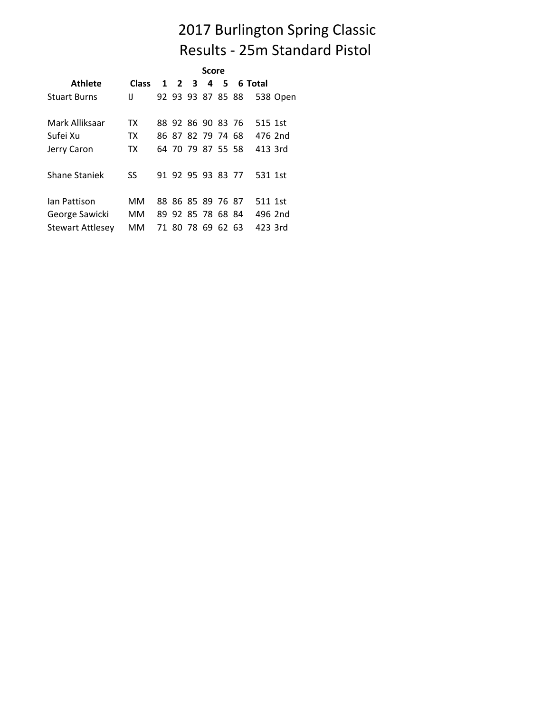# 2017 Burlington Spring Classic Results - 25m Standard Pistol

|                         |              | Score |                   |  |                   |    |  |         |          |  |
|-------------------------|--------------|-------|-------------------|--|-------------------|----|--|---------|----------|--|
| <b>Athlete</b>          | <b>Class</b> |       | $1\quad 2\quad 3$ |  |                   | 45 |  | 6 Total |          |  |
| <b>Stuart Burns</b>     | IJ           |       |                   |  | 92 93 93 87 85 88 |    |  |         | 538 Open |  |
| Mark Alliksaar          | TX           |       |                   |  | 88 92 86 90 83 76 |    |  | 515 1st |          |  |
| Sufei Xu                | TX.          |       |                   |  | 86 87 82 79 74 68 |    |  | 476 2nd |          |  |
| Jerry Caron             | TX.          |       |                   |  | 64 70 79 87 55 58 |    |  | 413 3rd |          |  |
| Shane Staniek           | SS.          |       |                   |  | 91 92 95 93 83 77 |    |  | 531 1st |          |  |
| lan Pattison            | мм           |       |                   |  | 88 86 85 89 76 87 |    |  | 511 1st |          |  |
| George Sawicki          | MМ           |       |                   |  | 89 92 85 78 68 84 |    |  | 496 2nd |          |  |
| <b>Stewart Attlesey</b> | MМ           |       |                   |  | 71 80 78 69 62 63 |    |  | 423 3rd |          |  |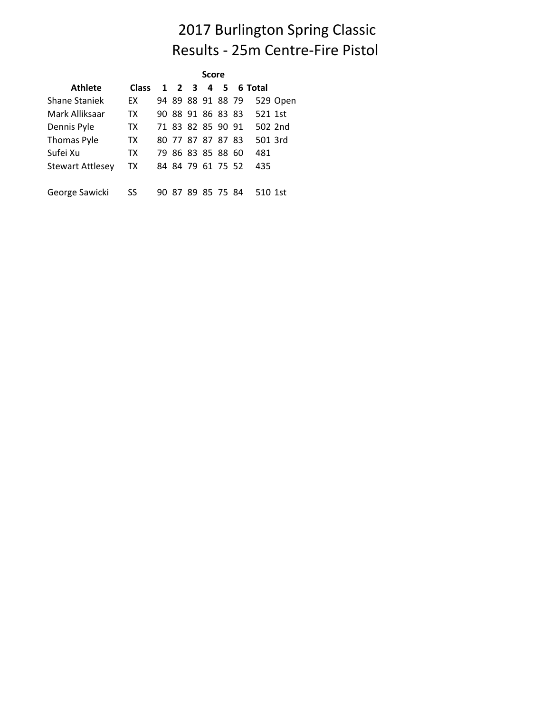## 2017 Burlington Spring Classic Results - 25m Centre-Fire Pistol

| <b>Score</b>            |              |  |       |  |                   |  |  |                   |          |
|-------------------------|--------------|--|-------|--|-------------------|--|--|-------------------|----------|
| <b>Athlete</b>          | <b>Class</b> |  |       |  |                   |  |  | 1 2 3 4 5 6 Total |          |
| <b>Shane Staniek</b>    | EX           |  |       |  | 94 89 88 91 88 79 |  |  |                   | 529 Open |
| Mark Alliksaar          | TX           |  |       |  | 90 88 91 86 83 83 |  |  | 521 1st           |          |
| Dennis Pyle             | TX.          |  |       |  | 71 83 82 85 90 91 |  |  | 502 2nd           |          |
| Thomas Pyle             | TX.          |  |       |  | 80 77 87 87 87 83 |  |  | 501 3rd           |          |
| Sufei Xu                | TX           |  |       |  | 79 86 83 85 88 60 |  |  | 481               |          |
| <b>Stewart Attlesey</b> | TX           |  |       |  | 84 84 79 61 75 52 |  |  | 435               |          |
| George Sawicki          | SS           |  | 90 87 |  | 89 85 75 84       |  |  | 510 1st           |          |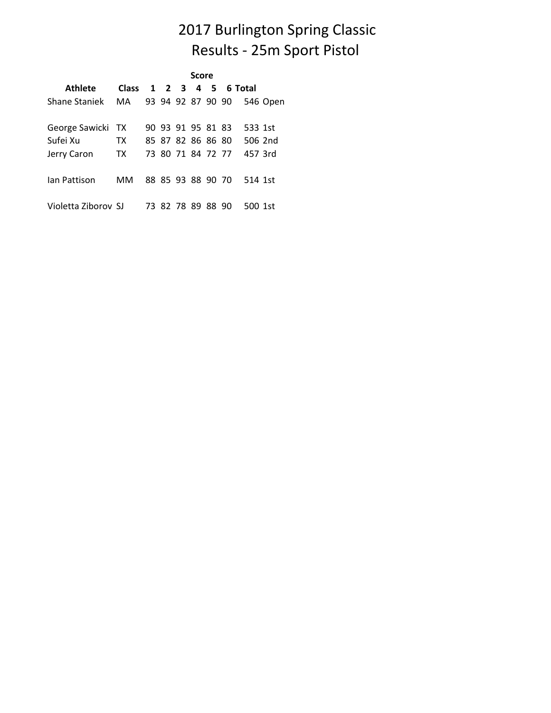# 2017 Burlington Spring Classic Results - 25m Sport Pistol

|                     | Score                   |  |  |  |                   |  |  |         |          |  |  |  |  |
|---------------------|-------------------------|--|--|--|-------------------|--|--|---------|----------|--|--|--|--|
| Athlete             | Class 1 2 3 4 5 6 Total |  |  |  |                   |  |  |         |          |  |  |  |  |
| Shane Staniek MA    |                         |  |  |  | 93 94 92 87 90 90 |  |  |         | 546 Open |  |  |  |  |
| George Sawicki TX   |                         |  |  |  | 90 93 91 95 81 83 |  |  | 533 1st |          |  |  |  |  |
| Sufei Xu            | TX T                    |  |  |  | 85 87 82 86 86 80 |  |  |         | 506 2nd  |  |  |  |  |
| Jerry Caron         | TX                      |  |  |  | 73 80 71 84 72 77 |  |  | 457 3rd |          |  |  |  |  |
| lan Pattison        | MМ                      |  |  |  | 88 85 93 88 90 70 |  |  | 514 1st |          |  |  |  |  |
| Violetta Ziborov SJ |                         |  |  |  | 73 82 78 89 88 90 |  |  | 500 1st |          |  |  |  |  |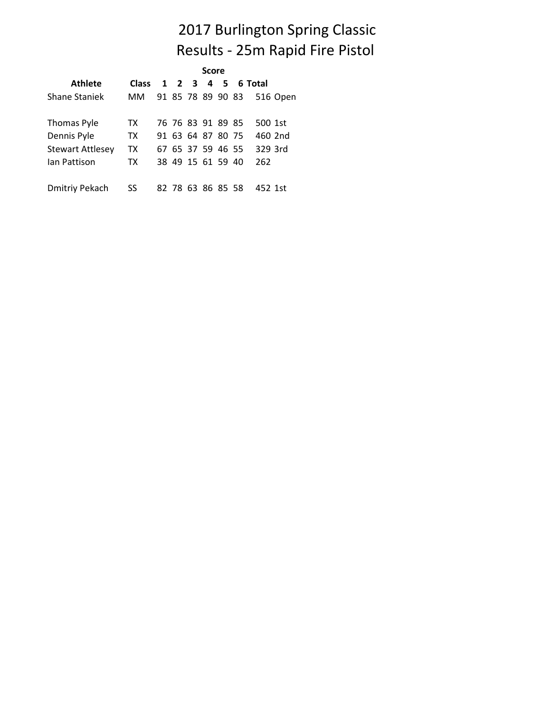## 2017 Burlington Spring Classic Results - 25m Rapid Fire Pistol

|                         |                         |  | <b>Score</b>      |  |          |  |
|-------------------------|-------------------------|--|-------------------|--|----------|--|
| <b>Athlete</b>          | Class 1 2 3 4 5 6 Total |  |                   |  |          |  |
| Shane Staniek           | MМ                      |  | 91 85 78 89 90 83 |  | 516 Open |  |
| Thomas Pyle             | TX.                     |  | 76 76 83 91 89 85 |  | 500 1st  |  |
| Dennis Pyle             | TX.                     |  | 91 63 64 87 80 75 |  | 460 2nd  |  |
| <b>Stewart Attlesey</b> | TX                      |  | 67 65 37 59 46 55 |  | 329 3rd  |  |
| lan Pattison            | TX                      |  | 38 49 15 61 59 40 |  | 262      |  |
| Dmitriy Pekach          | SS                      |  | 82 78 63 86 85 58 |  | 452 1st  |  |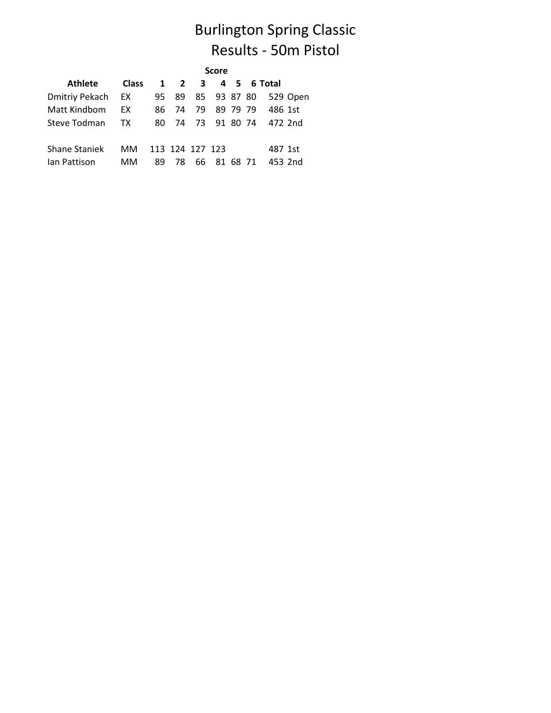# Burlington Spring Classic Results - 50m Pistol

|                      | <b>Score</b> |     |                 |    |                |          |  |                   |          |  |  |
|----------------------|--------------|-----|-----------------|----|----------------|----------|--|-------------------|----------|--|--|
| <b>Athlete</b>       | <b>Class</b> |     |                 |    |                |          |  | 1 2 3 4 5 6 Total |          |  |  |
| Dmitriy Pekach       | EX           | 95  | 89              |    | 85 93 87 80    |          |  |                   | 529 Open |  |  |
| Matt Kindbom         | EX           | 86. | - 74            | 79 |                | 89 79 79 |  | 486 1st           |          |  |  |
| Steve Todman         | TX.          | 80  |                 |    | 74 73 91 80 74 |          |  | 472 2nd           |          |  |  |
| <b>Shane Staniek</b> | MМ           |     | 113 124 127 123 |    |                |          |  | 487 1st           |          |  |  |
| lan Pattison         | MМ           | 89  | 78              | 66 |                | 81 68 71 |  | 453 2nd           |          |  |  |